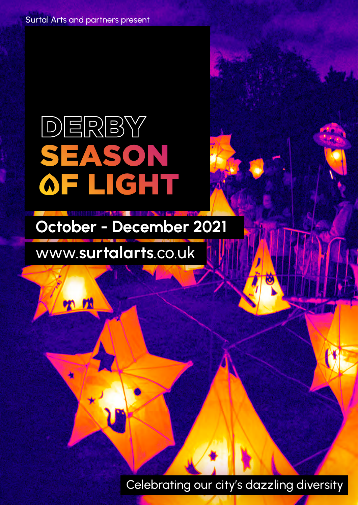Surtal Arts and partners present

# DERBY ON S **IGHT**

# [October - December 2021](https://www.surtalarts.co.uk/derby-season-of-light)

## www.surtalarts.co.uk

**on** *ri* 

Celebrating our city's dazzling diversity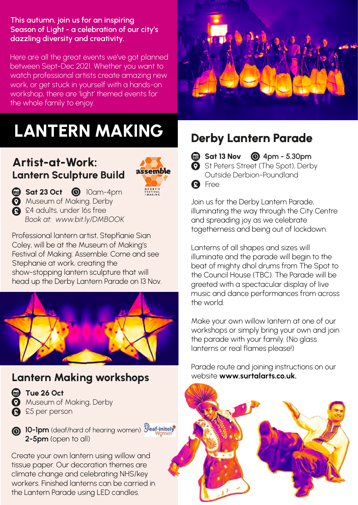#### This autumn, join us for an inspiring Season of Light - a celebration of our city's dazzling diversity and creativity.

Here are all the great events we've got planned between Sept-Dec 2021. Whether you want to watch professional artists create amazing new work, or get stuck in yourself with a hands-on workshop, there are ʻlight' themed events for the whole family to enjoy.

## LANTERN MAKING

#### Artist-at-Work: Lantern Sculpture Build



Sat 23 Oct <sup>10</sup>am-4pm **Museum of Making, Derby**  $\overline{Q}$  £4 adults, under 16s free *[Book at: www.bit.ly/DMBOOK](https://www.eventbrite.co.uk/e/assemble-derbys-festival-of-making-tickets-168429291545?aff=ebdsoporgprofile)*

Professional lantern artist, Stephanie Sian Coley, will be at the Museum of Making's Festival of Making: Assemble. Come and see Stephanie at work, creating the show-stopping lantern sculpture that will head up the Derby Lantern Parade on 13 Nov.



#### Lantern Making workshops



**C** Tue 26 Oct **Museum of Making, Derby A** £5 per person

**6** 10-1pm (deaf/hard of hearing women)  $\mathcal{D}$ eaf-initely 2-5pm (open to all)

Create your own lantern using willow and tissue paper. Our decoration themes are climate change and celebrating NHS/key workers. Finished lanterns can be carried in the Lantern Parade using LED candles.



### Derby Lantern Parade

**Sat 13 Nov © 4pm - 5.30pm** 

**O** St Peters Street (The Spot), Derby Outside Derbion-Poundland **A** Free

Join us for the Derby Lantern Parade, illuminating the way through the City Centre and spreading joy as we celebrate togetherness and being out of lockdown.

Lanterns of all shapes and sizes will illuminate and the parade will begin to the beat of mighty dhol drums from The Spot to the Council House (TBC). The Parade will be greeted with a spectacular display of live music and dance performances from across the world.

Make your own willow lantern at one of our workshops or simply bring your own and join the parade with your family. (No glass lanterns or real flames please!)

[Parade route and joining instructions on our](https://www.surtalarts.co.uk/derby-season-of-light)  website www.surtalarts.co.uk.

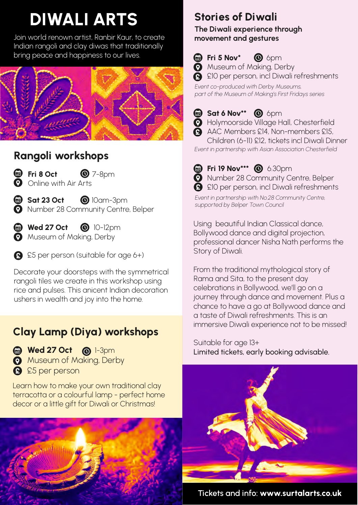## DIWALI ARTS

Join world renown artist, Ranbir Kaur, to create Indian rangoli and clay diwas that traditionally bring peace and happiness to our lives.



### Rangoli workshops

- 
- $\bullet$  Fri 8 Oct  $\bullet$  7-8pm **O** Online with Air Arts

Sat 23 Oct © 10am-3pm **O** Number 28 Community Centre, Belper

 $\bigcirc$  Wed 27 Oct  $\bigcirc$  10-12pm **Museum of Making, Derby** 

**A** £5 per person (suitable for age 6+)

Decorate your doorsteps with the symmetrical rangoli tiles we create in this workshop using rice and pulses. This anicent Indian decoration ushers in wealth and joy into the home.

### Clay Lamp (Diya) workshops

Wed 27 Oct @ 1-3pm **Museum of Making, Derby A** £5 per person

Learn how to make your own traditional clay terracotta or a colourful lamp - perfect home decor or a little gift for Diwali or Christmas!



### Stories of Diwali

The Diwali experience through movement and gestures

 $\bigoplus$  Fri 5 Nov\*  $\bigotimes$  6pm

**Museum of Making, Derby** 

**A** £10 per person, incl Diwali refreshments

*Event co-produced with Derby Museums, part of the Museum of Making's First Fridays series*

#### $\bigcirc$  Sat 6 Nov<sup>\*\*</sup>  $\bigcirc$  6 pm

- **O** Holymoorside Village Hall, Chesterfield
- AAC Members £14, Non-members £15, Children (6-11) £12, tickets incl Diwali Dinner

*Event in partnership with Asian Association Chesterfield*

- **@** Fri 19 Nov\*\*\* **@** 6.30pm Number 28 Community Centre, Belper
- **A** £10 per person, incl Diwali refreshments

*Event in partnership with No.28 Community Centre, supported by Belper Town Council*

Using beautiful Indian Classical dance, Bollywood dance and digital projection, professional dancer Nisha Nath performs the Story of Diwali.

From the traditional mythological story of Rama and Sita, to the present day celebrations in Bollywood, we'll go on a journey through dance and movement. Plus a chance to have a go at Bollywood dance and a taste of Diwali refreshments. This is an immersive Diwali experience not to be missed!

Suitable for age 13+ Limited tickets, early booking advisable.



[Tickets and info: www.surtalarts.co.uk](https://www.surtalarts.co.uk/derby-season-of-light)